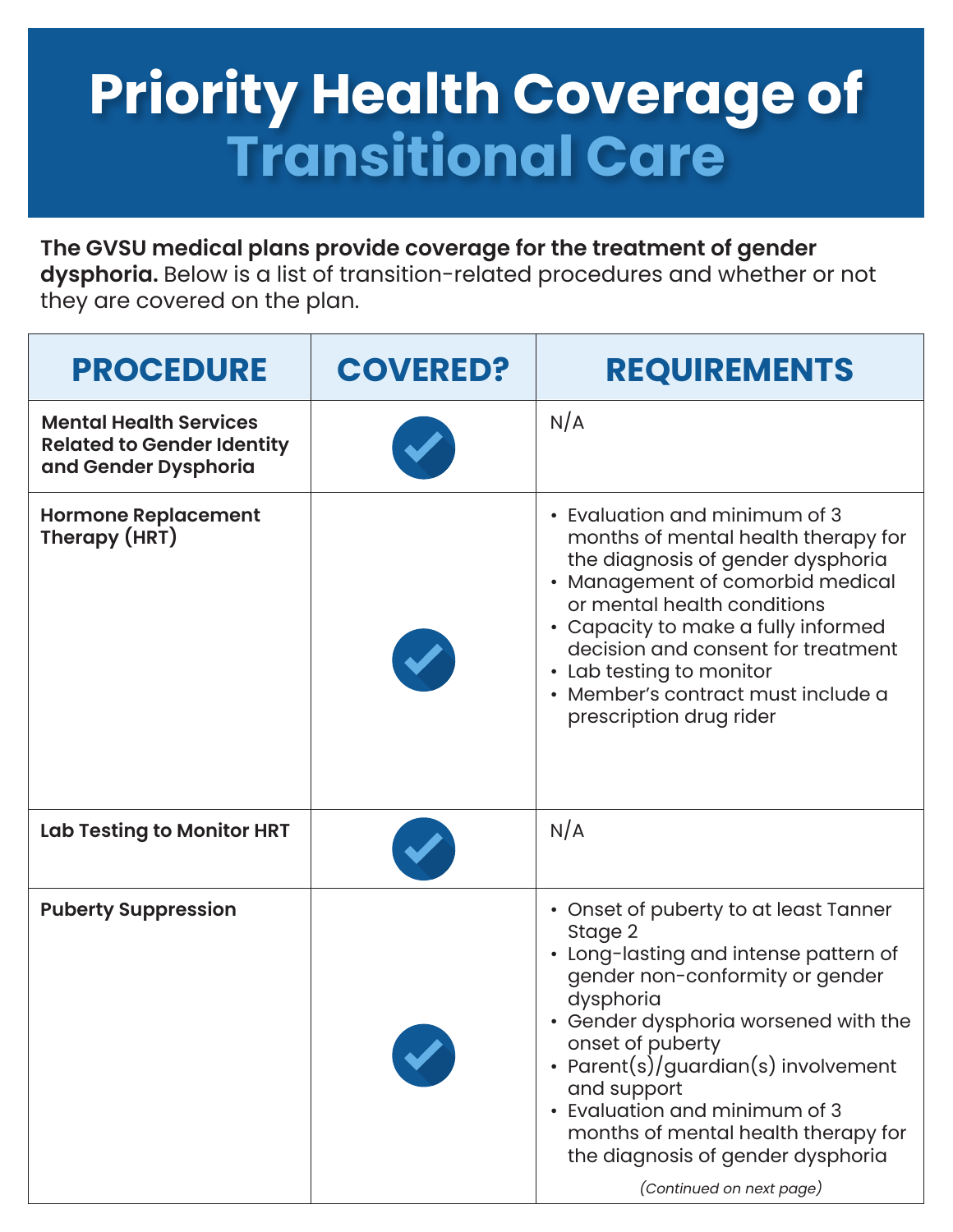## **Priority Health Coverage of Transitional Care**

**The GVSU medical plans provide coverage for the treatment of gender dysphoria.** Below is a list of transition-related procedures and whether or not they are covered on the plan.

| <b>PROCEDURE</b>                                                                           | <b>COVERED?</b> | <b>REQUIREMENTS</b>                                                                                                                                                                                                                                                                                                                                                                                  |
|--------------------------------------------------------------------------------------------|-----------------|------------------------------------------------------------------------------------------------------------------------------------------------------------------------------------------------------------------------------------------------------------------------------------------------------------------------------------------------------------------------------------------------------|
| <b>Mental Health Services</b><br><b>Related to Gender Identity</b><br>and Gender Dysphoria |                 | N/A                                                                                                                                                                                                                                                                                                                                                                                                  |
| <b>Hormone Replacement</b><br>Therapy (HRT)                                                |                 | • Evaluation and minimum of 3<br>months of mental health therapy for<br>the diagnosis of gender dysphoria<br>• Management of comorbid medical<br>or mental health conditions<br>• Capacity to make a fully informed<br>decision and consent for treatment<br>• Lab testing to monitor<br>· Member's contract must include a<br>prescription drug rider                                               |
| <b>Lab Testing to Monitor HRT</b>                                                          |                 | N/A                                                                                                                                                                                                                                                                                                                                                                                                  |
| <b>Puberty Suppression</b>                                                                 |                 | • Onset of puberty to at least Tanner<br>Stage 2<br>• Long-lasting and intense pattern of<br>gender non-conformity or gender<br>dysphoria<br>• Gender dysphoria worsened with the<br>onset of puberty<br>• Parent(s)/guardian(s) involvement<br>and support<br>• Evaluation and minimum of 3<br>months of mental health therapy for<br>the diagnosis of gender dysphoria<br>(Continued on next page) |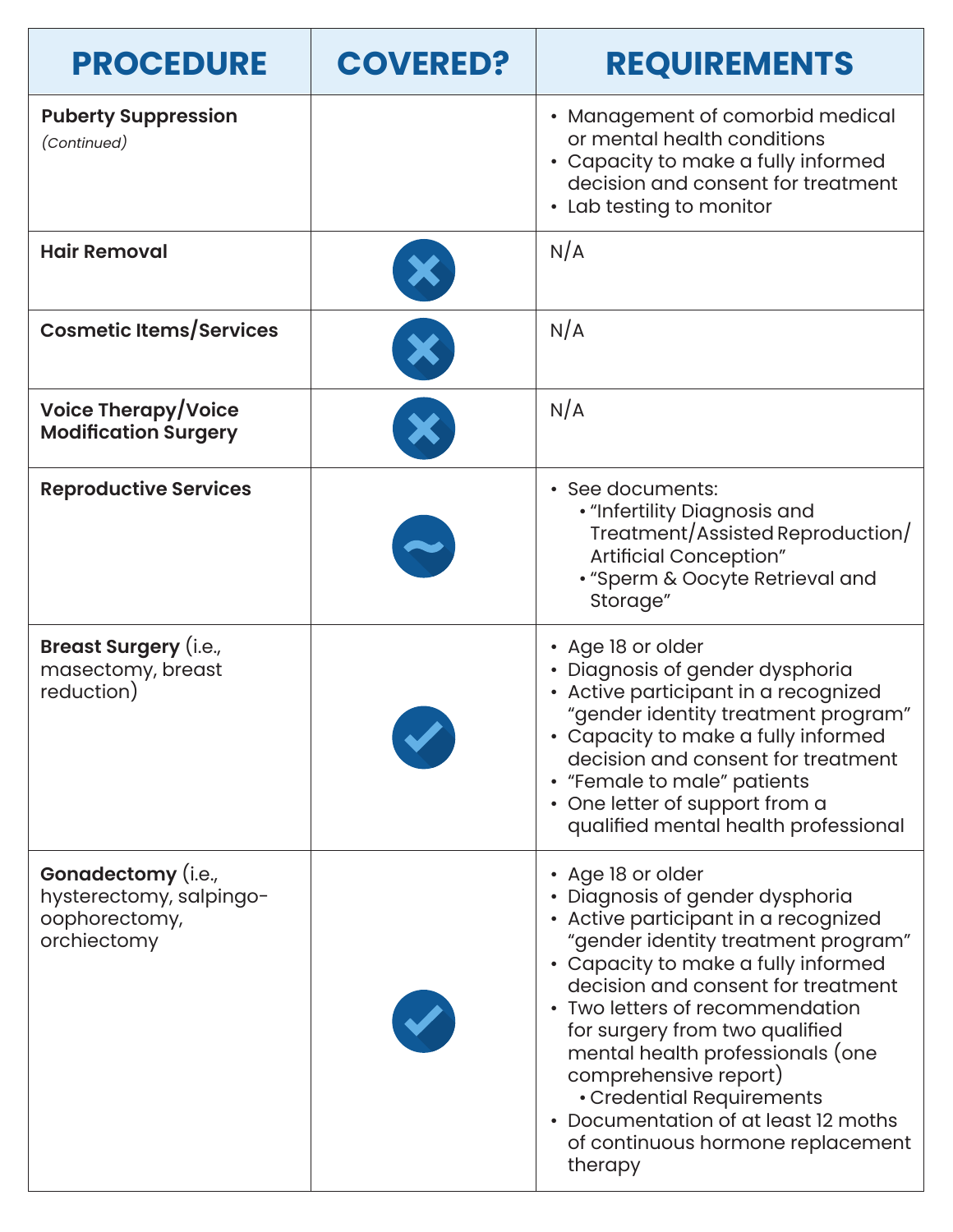| <b>PROCEDURE</b>                                                              | <b>COVERED?</b> | <b>REQUIREMENTS</b>                                                                                                                                                                                                                                                                                                                                                                                                                                                     |
|-------------------------------------------------------------------------------|-----------------|-------------------------------------------------------------------------------------------------------------------------------------------------------------------------------------------------------------------------------------------------------------------------------------------------------------------------------------------------------------------------------------------------------------------------------------------------------------------------|
| <b>Puberty Suppression</b><br>(Continued)                                     |                 | • Management of comorbid medical<br>or mental health conditions<br>• Capacity to make a fully informed<br>decision and consent for treatment<br>• Lab testing to monitor                                                                                                                                                                                                                                                                                                |
| <b>Hair Removal</b>                                                           |                 | N/A                                                                                                                                                                                                                                                                                                                                                                                                                                                                     |
| <b>Cosmetic Items/Services</b>                                                |                 | N/A                                                                                                                                                                                                                                                                                                                                                                                                                                                                     |
| <b>Voice Therapy/Voice</b><br><b>Modification Surgery</b>                     |                 | N/A                                                                                                                                                                                                                                                                                                                                                                                                                                                                     |
| <b>Reproductive Services</b>                                                  |                 | · See documents:<br>• "Infertility Diagnosis and<br>Treatment/Assisted Reproduction/<br>Artificial Conception"<br>· "Sperm & Oocyte Retrieval and<br>Storage"                                                                                                                                                                                                                                                                                                           |
| <b>Breast Surgery (i.e.,</b><br>masectomy, breast<br>reduction)               |                 | • Age 18 or older<br>· Diagnosis of gender dysphoria<br>• Active participant in a recognized<br>"gender identity treatment program"<br>• Capacity to make a fully informed<br>decision and consent for treatment<br>• "Female to male" patients<br>• One letter of support from a<br>qualified mental health professional                                                                                                                                               |
| Gonadectomy (i.e.,<br>hysterectomy, salpingo-<br>oophorectomy,<br>orchiectomy |                 | • Age 18 or older<br>• Diagnosis of gender dysphoria<br>• Active participant in a recognized<br>"gender identity treatment program"<br>• Capacity to make a fully informed<br>decision and consent for treatment<br>• Two letters of recommendation<br>for surgery from two qualified<br>mental health professionals (one<br>comprehensive report)<br>• Credential Requirements<br>• Documentation of at least 12 moths<br>of continuous hormone replacement<br>therapy |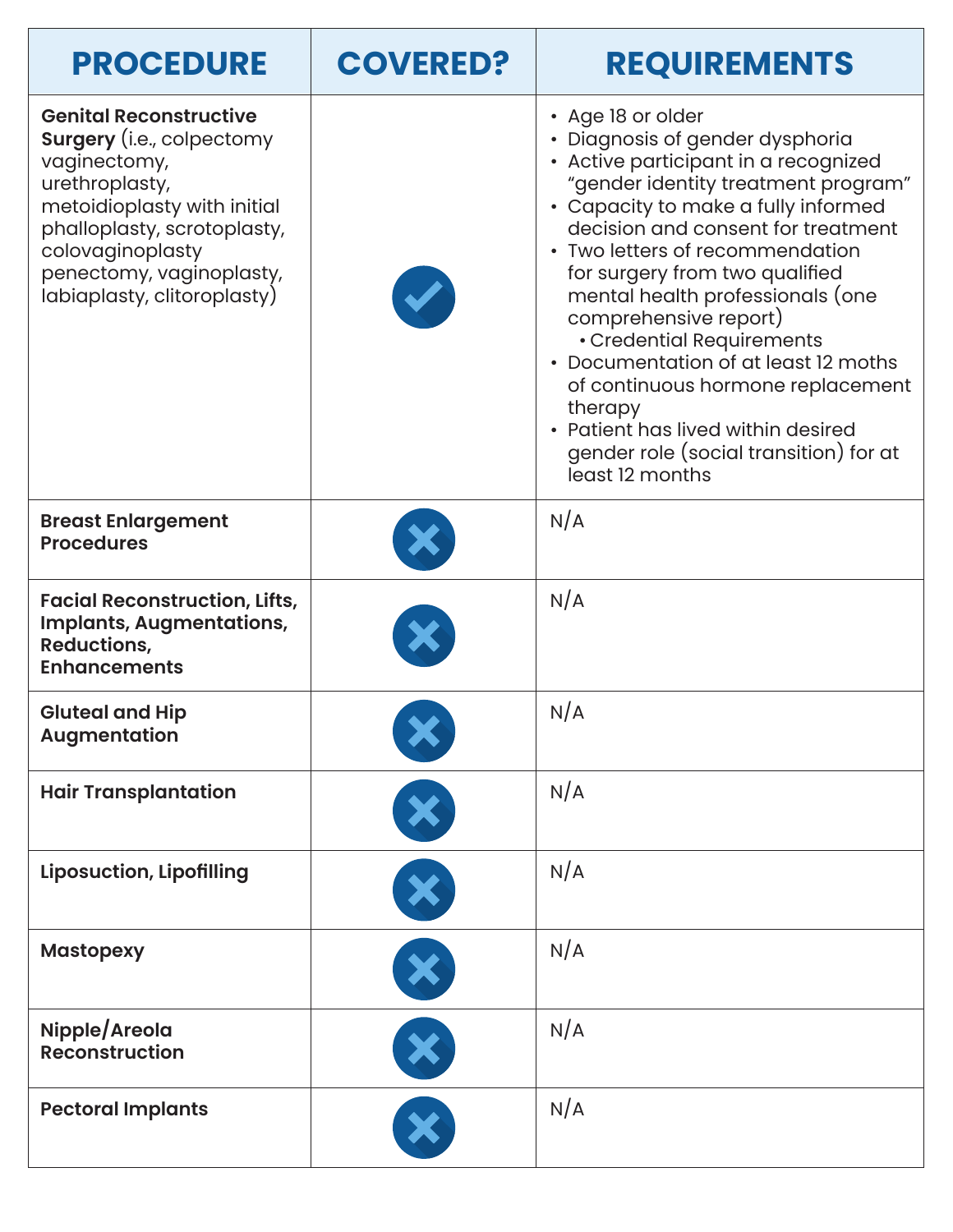| <b>PROCEDURE</b>                                                                                                                                                                                                                                 | <b>COVERED?</b> | <b>REQUIREMENTS</b>                                                                                                                                                                                                                                                                                                                                                                                                                                                                                                                                                        |
|--------------------------------------------------------------------------------------------------------------------------------------------------------------------------------------------------------------------------------------------------|-----------------|----------------------------------------------------------------------------------------------------------------------------------------------------------------------------------------------------------------------------------------------------------------------------------------------------------------------------------------------------------------------------------------------------------------------------------------------------------------------------------------------------------------------------------------------------------------------------|
| <b>Genital Reconstructive</b><br><b>Surgery</b> (i.e., colpectomy<br>vaginectomy,<br>urethroplasty,<br>metoidioplasty with initial<br>phalloplasty, scrotoplasty,<br>colovaginoplasty<br>penectomy, vaginoplasty,<br>labiaplasty, clitoroplasty) |                 | • Age 18 or older<br>· Diagnosis of gender dysphoria<br>• Active participant in a recognized<br>"gender identity treatment program"<br>• Capacity to make a fully informed<br>decision and consent for treatment<br>• Two letters of recommendation<br>for surgery from two qualified<br>mental health professionals (one<br>comprehensive report)<br>• Credential Requirements<br>• Documentation of at least 12 moths<br>of continuous hormone replacement<br>therapy<br>• Patient has lived within desired<br>gender role (social transition) for at<br>least 12 months |
| <b>Breast Enlargement</b><br><b>Procedures</b>                                                                                                                                                                                                   |                 | N/A                                                                                                                                                                                                                                                                                                                                                                                                                                                                                                                                                                        |
| <b>Facial Reconstruction, Lifts,</b><br><b>Implants, Augmentations,</b><br><b>Reductions,</b><br><b>Enhancements</b>                                                                                                                             |                 | N/A                                                                                                                                                                                                                                                                                                                                                                                                                                                                                                                                                                        |
| <b>Gluteal and Hip</b><br>Augmentation                                                                                                                                                                                                           |                 | N/A                                                                                                                                                                                                                                                                                                                                                                                                                                                                                                                                                                        |
| <b>Hair Transplantation</b>                                                                                                                                                                                                                      |                 | N/A                                                                                                                                                                                                                                                                                                                                                                                                                                                                                                                                                                        |
| <b>Liposuction, Lipofilling</b>                                                                                                                                                                                                                  | ×               | N/A                                                                                                                                                                                                                                                                                                                                                                                                                                                                                                                                                                        |
| <b>Mastopexy</b>                                                                                                                                                                                                                                 |                 | N/A                                                                                                                                                                                                                                                                                                                                                                                                                                                                                                                                                                        |
| Nipple/Areola<br><b>Reconstruction</b>                                                                                                                                                                                                           |                 | N/A                                                                                                                                                                                                                                                                                                                                                                                                                                                                                                                                                                        |
| <b>Pectoral Implants</b>                                                                                                                                                                                                                         |                 | N/A                                                                                                                                                                                                                                                                                                                                                                                                                                                                                                                                                                        |